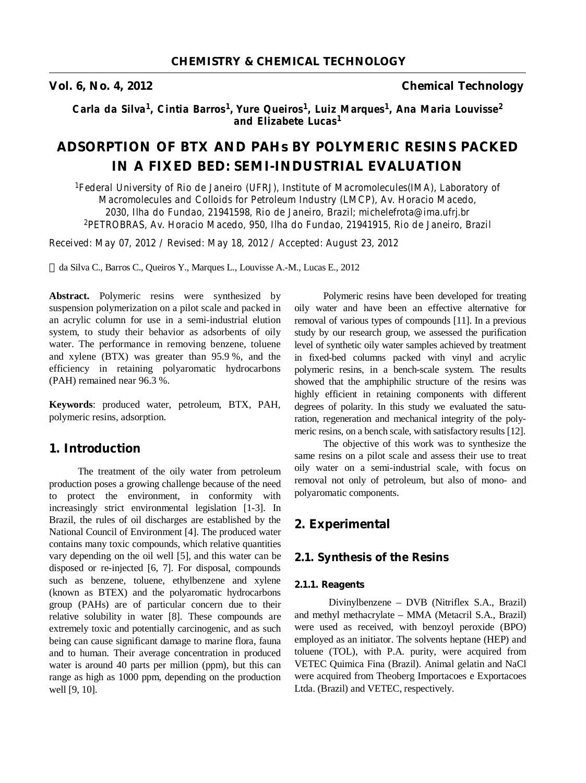**Vol. 6, No. 4, 2012 Chemical Technology**

Carla da Silva<sup>1</sup>, Cintia Barros<sup>1</sup>, Yure Queiros<sup>1</sup>, Luiz Marques<sup>1</sup>, Ana Maria Louvisse<sup>2</sup> *and Elizabete Lucas<sup>1</sup>*

# **ADSORPTION OF BTX AND PAHs BY POLYMERIC RESINS PACKED IN A FIXED BED: SEMI-INDUSTRIAL EVALUATION**

*<sup>1</sup>Federal University of Rio de Janeiro (UFRJ), Institute of Macromolecules(IMA), Laboratory of Macromolecules and Colloids for Petroleum Industry (LMCP), Av. Horacio Macedo, 2030, Ilha do Fundao, 21941598, Rio de Janeiro, Brazil; michelefrota@ima.ufrj.br <sup>2</sup>PETROBRAS, Av. Horacio Macedo, 950, Ilha do Fundao, 21941915, Rio de Janeiro, Brazil* 

*Received: May 07, 2012 / Revised: May 18, 2012 / Accepted: August 23, 2012* 

da Silva C., Barros C., Queiros Y., Marques L., Louvisse A.-M., Lucas E., 2012

**Abstract.** Polymeric resins were synthesized by suspension polymerization on a pilot scale and packed in an acrylic column for use in a semi-industrial elution system, to study their behavior as adsorbents of oily water. The performance in removing benzene, toluene and xylene (BTX) was greater than 95.9 %, and the efficiency in retaining polyaromatic hydrocarbons (PAH) remained near 96.3 %.

**Keywords**: produced water, petroleum, BTX, PAH, polymeric resins, adsorption.

## **1. Introduction**

The treatment of the oily water from petroleum production poses a growing challenge because of the need to protect the environment, in conformity with increasingly strict environmental legislation [1-3]. In Brazil, the rules of oil discharges are established by the National Council of Environment [4]. The produced water contains many toxic compounds, which relative quantities vary depending on the oil well [5], and this water can be disposed or re-injected [6, 7]. For disposal, compounds such as benzene, toluene, ethylbenzene and xylene (known as BTEX) and the polyaromatic hydrocarbons group (PAHs) are of particular concern due to their relative solubility in water [8]. These compounds are extremely toxic and potentially carcinogenic, and as such being can cause significant damage to marine flora, fauna and to human. Their average concentration in produced water is around 40 parts per million (ppm), but this can range as high as 1000 ppm, depending on the production well [9, 10].

Polymeric resins have been developed for treating oily water and have been an effective alternative for removal of various types of compounds [11]. In a previous study by our research group, we assessed the purification level of synthetic oily water samples achieved by treatment in fixed-bed columns packed with vinyl and acrylic polymeric resins, in a bench-scale system. The results showed that the amphiphilic structure of the resins was highly efficient in retaining components with different degrees of polarity. In this study we evaluated the saturation, regeneration and mechanical integrity of the polymeric resins, on a bench scale, with satisfactory results [12].

The objective of this work was to synthesize the same resins on a pilot scale and assess their use to treat oily water on a semi-industrial scale, with focus on removal not only of petroleum, but also of mono- and polyaromatic components.

## **2. Experimental**

## **2.1. Synthesis of the Resins**

### **2.1.1. Reagents**

Divinylbenzene – DVB (Nitriflex S.A., Brazil) and methyl methacrylate – MMA (Metacril S.A., Brazil) were used as received, with benzoyl peroxide (BPO) employed as an initiator. The solvents heptane (HEP) and toluene (TOL), with P.A. purity, were acquired from VETEC Quimica Fina (Brazil). Animal gelatin and NaCl were acquired from Theoberg Importacoes e Exportacoes Ltda. (Brazil) and VETEC, respectively.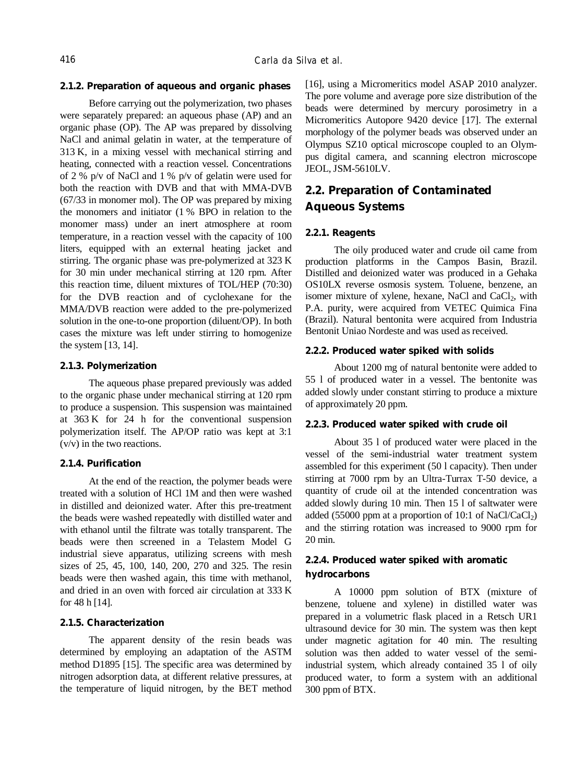#### **2.1.2. Preparation of aqueous and organic phases**

Before carrying out the polymerization, two phases were separately prepared: an aqueous phase (AP) and an organic phase (OP). The AP was prepared by dissolving NaCl and animal gelatin in water, at the temperature of 313 K, in a mixing vessel with mechanical stirring and heating, connected with a reaction vessel. Concentrations of 2 % p/v of NaCl and 1 % p/v of gelatin were used for both the reaction with DVB and that with MMA-DVB (67/33 in monomer mol). The OP was prepared by mixing the monomers and initiator (1 % BPO in relation to the monomer mass) under an inert atmosphere at room temperature, in a reaction vessel with the capacity of 100 liters, equipped with an external heating jacket and stirring. The organic phase was pre-polymerized at 323 K for 30 min under mechanical stirring at 120 rpm. After this reaction time, diluent mixtures of TOL/HEP (70:30) for the DVB reaction and of cyclohexane for the MMA/DVB reaction were added to the pre-polymerized solution in the one-to-one proportion (diluent/OP). In both cases the mixture was left under stirring to homogenize the system [13, 14].

### **2.1.3. Polymerization**

The aqueous phase prepared previously was added to the organic phase under mechanical stirring at 120 rpm to produce a suspension. This suspension was maintained at 363 K for 24 h for the conventional suspension polymerization itself. The AP/OP ratio was kept at 3:1 (v/v) in the two reactions.

#### **2.1.4. Purification**

At the end of the reaction, the polymer beads were treated with a solution of HCl 1M and then were washed in distilled and deionized water. After this pre-treatment the beads were washed repeatedly with distilled water and with ethanol until the filtrate was totally transparent. The beads were then screened in a Telastem Model G industrial sieve apparatus, utilizing screens with mesh sizes of 25, 45, 100, 140, 200, 270 and 325. The resin beads were then washed again, this time with methanol, and dried in an oven with forced air circulation at 333 K for 48 h [14].

## **2.1.5. Characterization**

The apparent density of the resin beads was determined by employing an adaptation of the ASTM method D1895 [15]. The specific area was determined by nitrogen adsorption data, at different relative pressures, at the temperature of liquid nitrogen, by the BET method

[16], using a Micromeritics model ASAP 2010 analyzer. The pore volume and average pore size distribution of the beads were determined by mercury porosimetry in a Micromeritics Autopore 9420 device [17]. The external morphology of the polymer beads was observed under an Olympus SZ10 optical microscope coupled to an Olympus digital camera, and scanning electron microscope JEOL, JSM-5610LV.

## **2.2. Preparation of Contaminated Aqueous Systems**

### **2.2.1. Reagents**

The oily produced water and crude oil came from production platforms in the Campos Basin, Brazil. Distilled and deionized water was produced in a Gehaka OS10LX reverse osmosis system. Toluene, benzene, an isomer mixture of xylene, hexane, NaCl and CaCl<sub>2</sub>, with P.A. purity, were acquired from VETEC Quimica Fina (Brazil). Natural bentonita were acquired from Industria Bentonit Uniao Nordeste and was used as received.

#### **2.2.2. Produced water spiked with solids**

About 1200 mg of natural bentonite were added to 55 l of produced water in a vessel. The bentonite was added slowly under constant stirring to produce a mixture of approximately 20 ppm.

#### **2.2.3. Produced water spiked with crude oil**

About 35 l of produced water were placed in the vessel of the semi-industrial water treatment system assembled for this experiment (50 l capacity). Then under stirring at 7000 rpm by an Ultra-Turrax T-50 device, a quantity of crude oil at the intended concentration was added slowly during 10 min. Then 15 l of saltwater were added (55000 ppm at a proportion of 10:1 of NaCl/CaCl<sub>2</sub>) and the stirring rotation was increased to 9000 rpm for 20 min.

## **2.2.4. Produced water spiked with aromatic hydrocarbons**

A 10000 ppm solution of BTX (mixture of benzene, toluene and xylene) in distilled water was prepared in a volumetric flask placed in a Retsch UR1 ultrasound device for 30 min. The system was then kept under magnetic agitation for 40 min. The resulting solution was then added to water vessel of the semiindustrial system, which already contained 35 l of oily produced water, to form a system with an additional 300 ppm of BTX.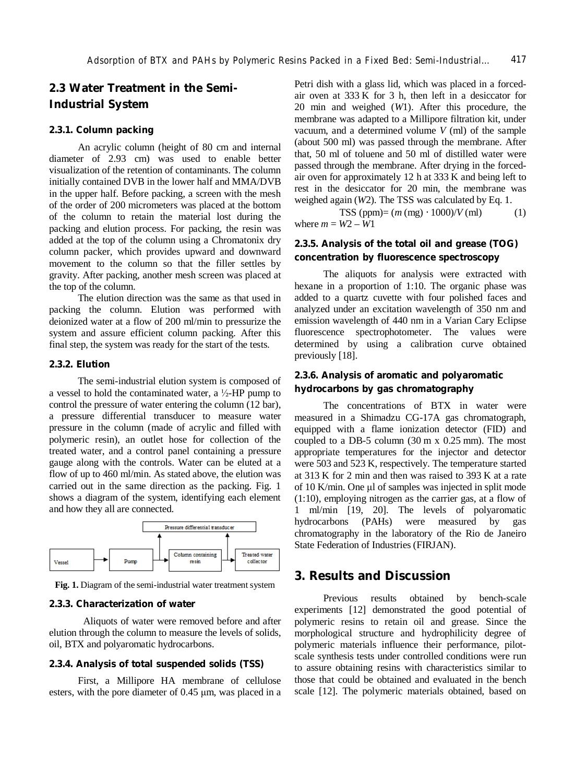## **2.3 Water Treatment in the Semi-Industrial System**

### **2.3.1. Column packing**

An acrylic column (height of 80 cm and internal diameter of 2.93 cm) was used to enable better visualization of the retention of contaminants. The column initially contained DVB in the lower half and MMA/DVB in the upper half. Before packing, a screen with the mesh of the order of 200 micrometers was placed at the bottom of the column to retain the material lost during the packing and elution process. For packing, the resin was added at the top of the column using a Chromatonix dry column packer, which provides upward and downward movement to the column so that the filler settles by gravity. After packing, another mesh screen was placed at the top of the column.

The elution direction was the same as that used in packing the column. Elution was performed with deionized water at a flow of 200 ml/min to pressurize the system and assure efficient column packing. After this final step, the system was ready for the start of the tests.

## **2.3.2. Elution**

The semi-industrial elution system is composed of a vessel to hold the contaminated water, a  $\frac{1}{2}$ -HP pump to control the pressure of water entering the column (12 bar), a pressure differential transducer to measure water pressure in the column (made of acrylic and filled with polymeric resin), an outlet hose for collection of the treated water, and a control panel containing a pressure gauge along with the controls. Water can be eluted at a flow of up to 460 ml/min. As stated above, the elution was carried out in the same direction as the packing. Fig. 1 shows a diagram of the system, identifying each element and how they all are connected.



**Fig. 1.** Diagram of the semi-industrial water treatment system

### **2.3.3. Characterization of water**

Aliquots of water were removed before and after elution through the column to measure the levels of solids, oil, BTX and polyaromatic hydrocarbons.

## **2.3.4. Analysis of total suspended solids (TSS)**

First, a Millipore HA membrane of cellulose esters, with the pore diameter of 0.45 μm, was placed in a

Petri dish with a glass lid, which was placed in a forcedair oven at  $333 \text{ K}$  for 3 h, then left in a desiccator for 20 min and weighed (*W*1). After this procedure, the membrane was adapted to a Millipore filtration kit, under vacuum, and a determined volume *V* (ml) of the sample (about 500 ml) was passed through the membrane. After that, 50 ml of toluene and 50 ml of distilled water were passed through the membrane. After drying in the forcedair oven for approximately 12 h at 333 K and being left to rest in the desiccator for 20 min, the membrane was weighed again (*W*2). The TSS was calculated by Eq. 1.

TSS (ppm)=  $(m \, (mg) \cdot 1000)/V$  (ml) (1) where  $m = W^2 - W^1$ 

## **2.3.5. Analysis of the total oil and grease (TOG) concentration by fluorescence spectroscopy**

The aliquots for analysis were extracted with hexane in a proportion of 1:10. The organic phase was added to a quartz cuvette with four polished faces and analyzed under an excitation wavelength of 350 nm and emission wavelength of 440 nm in a Varian Cary Eclipse fluorescence spectrophotometer. The values were determined by using a calibration curve obtained previously [18].

## **2.3.6. Analysis of aromatic and polyaromatic hydrocarbons by gas chromatography**

The concentrations of BTX in water were measured in a Shimadzu CG-17A gas chromatograph, equipped with a flame ionization detector (FID) and coupled to a DB-5 column (30 m x 0.25 mm). The most appropriate temperatures for the injector and detector were 503 and 523 K, respectively. The temperature started at 313 K for 2 min and then was raised to 393 K at a rate of 10 K/min. One μl of samples was injected in split mode (1:10), employing nitrogen as the carrier gas, at a flow of 1 ml/min [19, 20]. The levels of polyaromatic hydrocarbons (PAHs) were measured by gas chromatography in the laboratory of the Rio de Janeiro State Federation of Industries (FIRJAN).

## **3. Results and Discussion**

Previous results obtained by bench-scale experiments [12] demonstrated the good potential of polymeric resins to retain oil and grease. Since the morphological structure and hydrophilicity degree of polymeric materials influence their performance, pilotscale synthesis tests under controlled conditions were run to assure obtaining resins with characteristics similar to those that could be obtained and evaluated in the bench scale [12]. The polymeric materials obtained, based on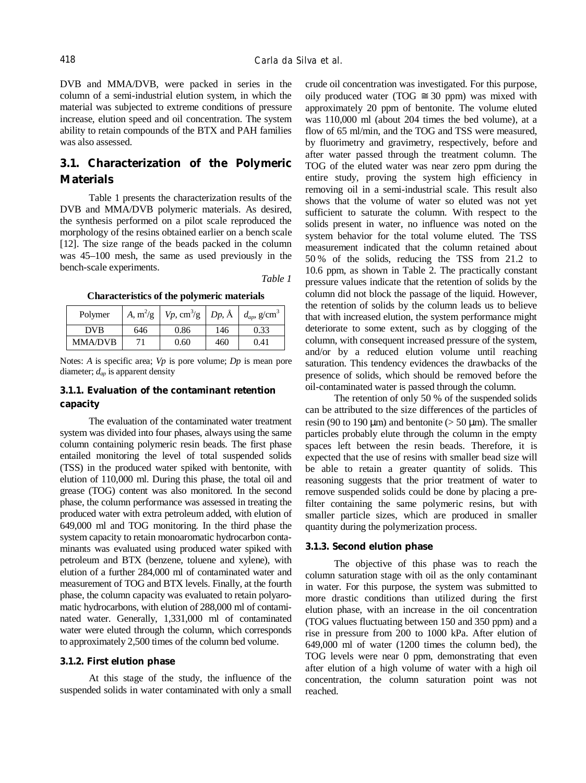DVB and MMA/DVB, were packed in series in the column of a semi-industrial elution system, in which the material was subjected to extreme conditions of pressure increase, elution speed and oil concentration. The system ability to retain compounds of the BTX and PAH families was also assessed.

## **3.1. Characterization of the Polymeric Materials**

Table 1 presents the characterization results of the DVB and MMA/DVB polymeric materials. As desired, the synthesis performed on a pilot scale reproduced the morphology of the resins obtained earlier on a bench scale [12]. The size range of the beads packed in the column was 45–100 mesh, the same as used previously in the bench-scale experiments.

*Table 1* 

**Characteristics of the polymeric materials** 

| Polymer        |     | A, m <sup>2</sup> /g   $Vp$ , cm <sup>3</sup> /g   $Dp$ , Å   $d_{ap}$ , g/cm <sup>3</sup> |     |      |
|----------------|-----|--------------------------------------------------------------------------------------------|-----|------|
| <b>DVB</b>     | 646 | 0.86                                                                                       | 146 | 0.33 |
| <b>MMA/DVB</b> |     | 0.60                                                                                       | 460 | 0.41 |

Notes: *A* is specific area; *Vp* is pore volume; *Dp* is mean pore diameter; *dap* is apparent density

## **3.1.1. Evaluation of the contaminant retention capacity**

The evaluation of the contaminated water treatment system was divided into four phases, always using the same column containing polymeric resin beads. The first phase entailed monitoring the level of total suspended solids (TSS) in the produced water spiked with bentonite, with elution of 110,000 ml. During this phase, the total oil and grease (TOG) content was also monitored. In the second phase, the column performance was assessed in treating the produced water with extra petroleum added, with elution of 649,000 ml and TOG monitoring. In the third phase the system capacity to retain monoaromatic hydrocarbon contaminants was evaluated using produced water spiked with petroleum and BTX (benzene, toluene and xylene), with elution of a further 284,000 ml of contaminated water and measurement of TOG and BTX levels. Finally, at the fourth phase, the column capacity was evaluated to retain polyaromatic hydrocarbons, with elution of 288,000 ml of contaminated water. Generally, 1,331,000 ml of contaminated water were eluted through the column, which corresponds to approximately 2,500 times of the column bed volume.

#### **3.1.2. First elution phase**

At this stage of the study, the influence of the suspended solids in water contaminated with only a small crude oil concentration was investigated. For this purpose, oily produced water (TOG  $\approx$  30 ppm) was mixed with approximately 20 ppm of bentonite. The volume eluted was 110,000 ml (about 204 times the bed volume), at a flow of 65 ml/min, and the TOG and TSS were measured, by fluorimetry and gravimetry, respectively, before and after water passed through the treatment column. The TOG of the eluted water was near zero ppm during the entire study, proving the system high efficiency in removing oil in a semi-industrial scale. This result also shows that the volume of water so eluted was not yet sufficient to saturate the column. With respect to the solids present in water, no influence was noted on the system behavior for the total volume eluted. The TSS measurement indicated that the column retained about 50 % of the solids, reducing the TSS from 21.2 to 10.6 ppm, as shown in Table 2. The practically constant pressure values indicate that the retention of solids by the column did not block the passage of the liquid. However, the retention of solids by the column leads us to believe that with increased elution, the system performance might deteriorate to some extent, such as by clogging of the column, with consequent increased pressure of the system, and/or by a reduced elution volume until reaching saturation. This tendency evidences the drawbacks of the presence of solids, which should be removed before the oil-contaminated water is passed through the column.

The retention of only 50 % of the suspended solids can be attributed to the size differences of the particles of resin (90 to 190  $\mu$ m) and bentonite ( $> 50 \mu$ m). The smaller particles probably elute through the column in the empty spaces left between the resin beads. Therefore, it is expected that the use of resins with smaller bead size will be able to retain a greater quantity of solids. This reasoning suggests that the prior treatment of water to remove suspended solids could be done by placing a prefilter containing the same polymeric resins, but with smaller particle sizes, which are produced in smaller quantity during the polymerization process.

### **3.1.3. Second elution phase**

The objective of this phase was to reach the column saturation stage with oil as the only contaminant in water. For this purpose, the system was submitted to more drastic conditions than utilized during the first elution phase, with an increase in the oil concentration (TOG values fluctuating between 150 and 350 ppm) and a rise in pressure from 200 to 1000 kPa. After elution of 649,000 ml of water (1200 times the column bed), the TOG levels were near 0 ppm, demonstrating that even after elution of a high volume of water with a high oil concentration, the column saturation point was not reached.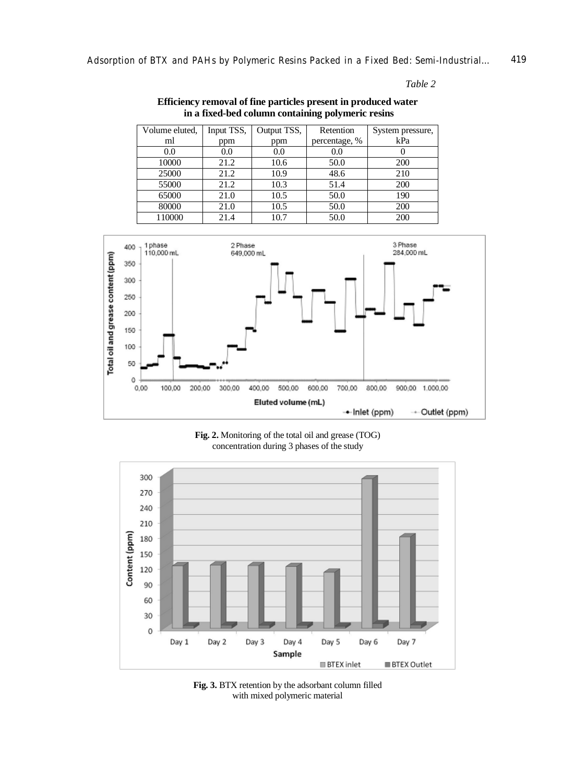## *Table 2*

## **Efficiency removal of fine particles present in produced water in a fixed-bed column containing polymeric resins**

| Volume eluted, | Input TSS, | Output TSS, | Retention     | System pressure, |
|----------------|------------|-------------|---------------|------------------|
| ml             | ppm        | ppm         | percentage, % | kPa              |
| 0.0            | 0.0        | 0.0         | 0.0           | v                |
| 10000          | 21.2       | 10.6        | 50.0          | 200              |
| 25000          | 21.2       | 10.9        | 48.6          | 210              |
| 55000          | 21.2       | 10.3        | 51.4          | 200              |
| 65000          | 21.0       | 10.5        | 50.0          | 190              |
| 80000          | 21.0       | 10.5        | 50.0          | 200              |
| 110000         | 21.4       | 10.7        | 50.0          | 200              |



**Fig. 2.** Monitoring of the total oil and grease (TOG) concentration during 3 phases of the study



**Fig. 3.** BTX retention by the adsorbant column filled with mixed polymeric material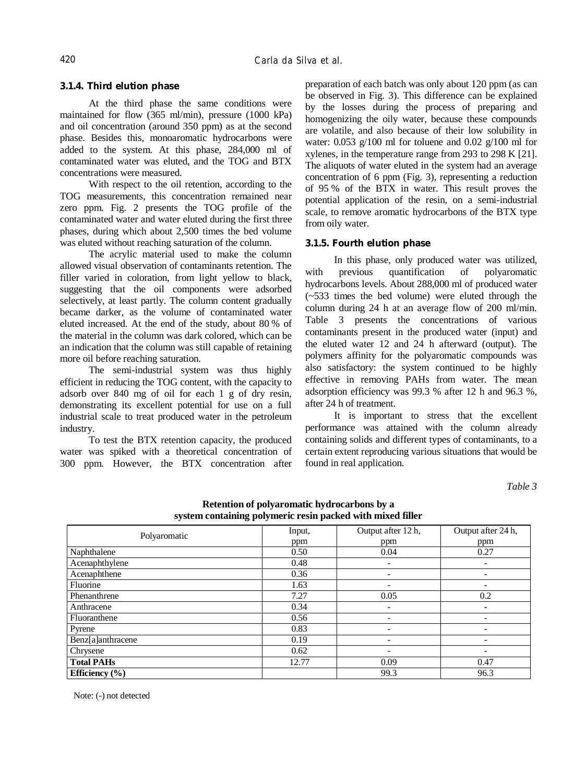## **3.1.4. Third elution phase**

At the third phase the same conditions were maintained for flow (365 ml/min), pressure (1000 kPa) and oil concentration (around 350 ppm) as at the second phase. Besides this, monoaromatic hydrocarbons were added to the system. At this phase, 284,000 ml of contaminated water was eluted, and the TOG and BTX concentrations were measured.

With respect to the oil retention, according to the TOG measurements, this concentration remained near zero ppm. Fig. 2 presents the TOG profile of the contaminated water and water eluted during the first three phases, during which about 2,500 times the bed volume was eluted without reaching saturation of the column.

The acrylic material used to make the column allowed visual observation of contaminants retention. The filler varied in coloration, from light yellow to black, suggesting that the oil components were adsorbed selectively, at least partly. The column content gradually became darker, as the volume of contaminated water eluted increased. At the end of the study, about 80 % of the material in the column was dark colored, which can be an indication that the column was still capable of retaining more oil before reaching saturation.

The semi-industrial system was thus highly efficient in reducing the TOG content, with the capacity to adsorb over 840 mg of oil for each 1 g of dry resin, demonstrating its excellent potential for use on a full industrial scale to treat produced water in the petroleum industry.

To test the BTX retention capacity, the produced water was spiked with a theoretical concentration of 300 ppm. However, the BTX concentration after

preparation of each batch was only about 120 ppm (as can be observed in Fig. 3). This difference can be explained by the losses during the process of preparing and homogenizing the oily water, because these compounds are volatile, and also because of their low solubility in water: 0.053  $g/100$  ml for toluene and 0.02  $g/100$  ml for xylenes, in the temperature range from 293 to 298 K [21]. The aliquots of water eluted in the system had an average concentration of 6 ppm (Fig. 3), representing a reduction of 95 % of the BTX in water. This result proves the potential application of the resin, on a semi-industrial scale, to remove aromatic hydrocarbons of the BTX type from oily water.

### **3.1.5. Fourth elution phase**

In this phase, only produced water was utilized, with previous quantification of polyaromatic hydrocarbons levels. About 288,000 ml of produced water (~533 times the bed volume) were eluted through the column during 24 h at an average flow of 200 ml/min. Table 3 presents the concentrations of various contaminants present in the produced water (input) and the eluted water 12 and 24 h afterward (output). The polymers affinity for the polyaromatic compounds was also satisfactory: the system continued to be highly effective in removing PAHs from water. The mean adsorption efficiency was 99.3 % after 12 h and 96.3 %, after 24 h of treatment.

It is important to stress that the excellent performance was attained with the column already containing solids and different types of contaminants, to a certain extent reproducing various situations that would be found in real application.

*Table 3* 

| system containing polymeric result packed with mixed finer |        |                    |                    |  |  |  |
|------------------------------------------------------------|--------|--------------------|--------------------|--|--|--|
| Polyaromatic                                               | Input, | Output after 12 h, | Output after 24 h, |  |  |  |
|                                                            | ppm    | ppm                | ppm                |  |  |  |
| Naphthalene                                                | 0.50   | 0.04               | 0.27               |  |  |  |
| Acenaphthylene                                             | 0.48   |                    |                    |  |  |  |
| Acenaphthene                                               | 0.36   |                    |                    |  |  |  |
| Fluorine                                                   | 1.63   |                    |                    |  |  |  |
| Phenanthrene                                               | 7.27   | 0.05               | 0.2                |  |  |  |
| Anthracene                                                 | 0.34   | -                  |                    |  |  |  |
| Fluoranthene                                               | 0.56   |                    |                    |  |  |  |
| Pyrene                                                     | 0.83   |                    |                    |  |  |  |
| Benz[a]anthracene                                          | 0.19   |                    |                    |  |  |  |
| Chrysene                                                   | 0.62   |                    | -                  |  |  |  |
| <b>Total PAHs</b>                                          | 12.77  | 0.09               | 0.47               |  |  |  |
| Efficiency $(\% )$                                         |        | 99.3               | 96.3               |  |  |  |

**Retention of polyaromatic hydrocarbons by a system containing polymeric resin packed with mixed filler** 

Note: (-) not detected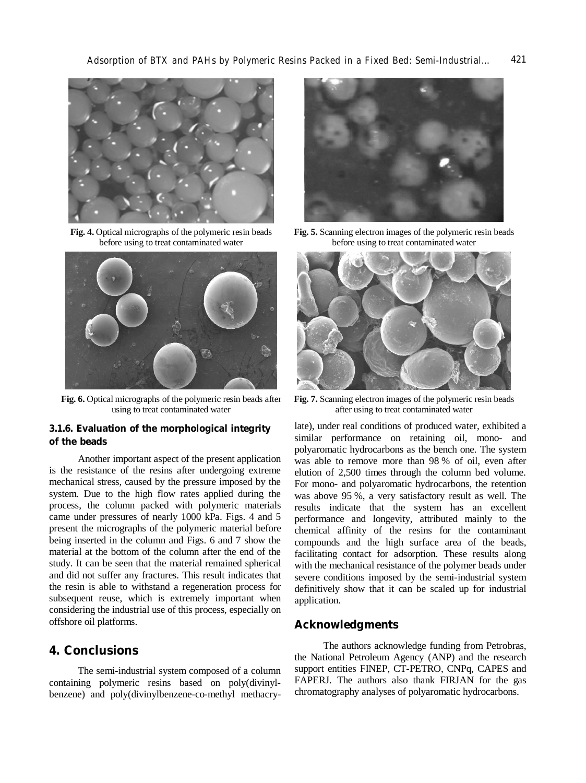

**Fig. 4.** Optical micrographs of the polymeric resin beads before using to treat contaminated water



**Fig. 6.** Optical micrographs of the polymeric resin beads after using to treat contaminated water

## **3.1.6. Evaluation of the morphological integrity of the beads**

Another important aspect of the present application is the resistance of the resins after undergoing extreme mechanical stress, caused by the pressure imposed by the system. Due to the high flow rates applied during the process, the column packed with polymeric materials came under pressures of nearly 1000 kPa. Figs. 4 and 5 present the micrographs of the polymeric material before being inserted in the column and Figs. 6 and 7 show the material at the bottom of the column after the end of the study. It can be seen that the material remained spherical and did not suffer any fractures. This result indicates that the resin is able to withstand a regeneration process for subsequent reuse, which is extremely important when considering the industrial use of this process, especially on offshore oil platforms.

## **4. Conclusions**

The semi-industrial system composed of a column containing polymeric resins based on poly(divinylbenzene) and poly(divinylbenzene-co-methyl methacry-



**Fig. 5.** Scanning electron images of the polymeric resin beads before using to treat contaminated water



**Fig. 7.** Scanning electron images of the polymeric resin beads after using to treat contaminated water

late), under real conditions of produced water, exhibited a similar performance on retaining oil, mono- and polyaromatic hydrocarbons as the bench one. The system was able to remove more than 98 % of oil, even after elution of 2,500 times through the column bed volume. For mono- and polyaromatic hydrocarbons, the retention was above 95 %, a very satisfactory result as well. The results indicate that the system has an excellent performance and longevity, attributed mainly to the chemical affinity of the resins for the contaminant compounds and the high surface area of the beads, facilitating contact for adsorption. These results along with the mechanical resistance of the polymer beads under severe conditions imposed by the semi-industrial system definitively show that it can be scaled up for industrial application.

## **Acknowledgments**

The authors acknowledge funding from Petrobras, the National Petroleum Agency (ANP) and the research support entities FINEP, CT-PETRO, CNPq, CAPES and FAPERJ. The authors also thank FIRJAN for the gas chromatography analyses of polyaromatic hydrocarbons.